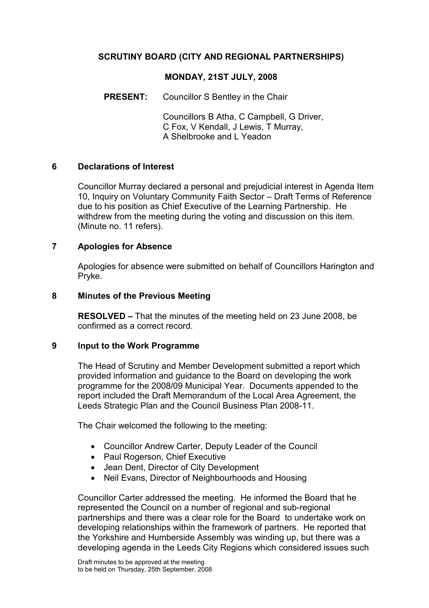# SCRUTINY BOARD (CITY AND REGIONAL PARTNERSHIPS)

## MONDAY, 21ST JULY, 2008

PRESENT: Councillor S Bentley in the Chair

 Councillors B Atha, C Campbell, G Driver, C Fox, V Kendall, J Lewis, T Murray, A Shelbrooke and L Yeadon

### 6 Declarations of Interest

Councillor Murray declared a personal and prejudicial interest in Agenda Item 10, Inquiry on Voluntary Community Faith Sector – Draft Terms of Reference due to his position as Chief Executive of the Learning Partnership. He withdrew from the meeting during the voting and discussion on this item. (Minute no. 11 refers).

### 7 Apologies for Absence

Apologies for absence were submitted on behalf of Councillors Harington and Pryke.

#### 8 Minutes of the Previous Meeting

RESOLVED – That the minutes of the meeting held on 23 June 2008, be confirmed as a correct record.

### 9 Input to the Work Programme

The Head of Scrutiny and Member Development submitted a report which provided information and guidance to the Board on developing the work programme for the 2008/09 Municipal Year. Documents appended to the report included the Draft Memorandum of the Local Area Agreement, the Leeds Strategic Plan and the Council Business Plan 2008-11.

The Chair welcomed the following to the meeting:

- Councillor Andrew Carter, Deputy Leader of the Council
- Paul Rogerson, Chief Executive
- Jean Dent, Director of City Development
- Neil Evans, Director of Neighbourhoods and Housing

Councillor Carter addressed the meeting. He informed the Board that he represented the Council on a number of regional and sub-regional partnerships and there was a clear role for the Board to undertake work on developing relationships within the framework of partners. He reported that the Yorkshire and Humberside Assembly was winding up, but there was a developing agenda in the Leeds City Regions which considered issues such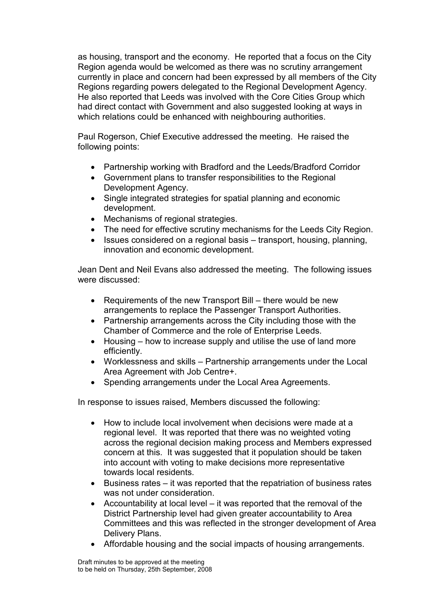as housing, transport and the economy. He reported that a focus on the City Region agenda would be welcomed as there was no scrutiny arrangement currently in place and concern had been expressed by all members of the City Regions regarding powers delegated to the Regional Development Agency. He also reported that Leeds was involved with the Core Cities Group which had direct contact with Government and also suggested looking at ways in which relations could be enhanced with neighbouring authorities.

Paul Rogerson, Chief Executive addressed the meeting. He raised the following points:

- Partnership working with Bradford and the Leeds/Bradford Corridor
- Government plans to transfer responsibilities to the Regional Development Agency.
- Single integrated strategies for spatial planning and economic development.
- Mechanisms of regional strategies.
- The need for effective scrutiny mechanisms for the Leeds City Region.
- Issues considered on a regional basis transport, housing, planning, innovation and economic development.

Jean Dent and Neil Evans also addressed the meeting. The following issues were discussed:

- Requirements of the new Transport Bill there would be new arrangements to replace the Passenger Transport Authorities.
- Partnership arrangements across the City including those with the Chamber of Commerce and the role of Enterprise Leeds.
- Housing how to increase supply and utilise the use of land more efficiently.
- Worklessness and skills Partnership arrangements under the Local Area Agreement with Job Centre+.
- Spending arrangements under the Local Area Agreements.

In response to issues raised, Members discussed the following:

- How to include local involvement when decisions were made at a regional level. It was reported that there was no weighted voting across the regional decision making process and Members expressed concern at this. It was suggested that it population should be taken into account with voting to make decisions more representative towards local residents.
- Business rates it was reported that the repatriation of business rates was not under consideration.
- Accountability at local level it was reported that the removal of the District Partnership level had given greater accountability to Area Committees and this was reflected in the stronger development of Area Delivery Plans.
- Affordable housing and the social impacts of housing arrangements.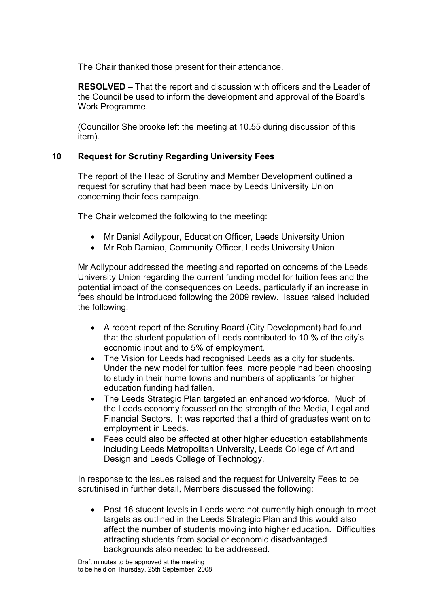The Chair thanked those present for their attendance.

RESOLVED – That the report and discussion with officers and the Leader of the Council be used to inform the development and approval of the Board's Work Programme.

(Councillor Shelbrooke left the meeting at 10.55 during discussion of this item).

## 10 Request for Scrutiny Regarding University Fees

The report of the Head of Scrutiny and Member Development outlined a request for scrutiny that had been made by Leeds University Union concerning their fees campaign.

The Chair welcomed the following to the meeting:

- Mr Danial Adilypour, Education Officer, Leeds University Union
- Mr Rob Damiao, Community Officer, Leeds University Union

Mr Adilypour addressed the meeting and reported on concerns of the Leeds University Union regarding the current funding model for tuition fees and the potential impact of the consequences on Leeds, particularly if an increase in fees should be introduced following the 2009 review. Issues raised included the following:

- A recent report of the Scrutiny Board (City Development) had found that the student population of Leeds contributed to 10 % of the city's economic input and to 5% of employment.
- The Vision for Leeds had recognised Leeds as a city for students. Under the new model for tuition fees, more people had been choosing to study in their home towns and numbers of applicants for higher education funding had fallen.
- The Leeds Strategic Plan targeted an enhanced workforce. Much of the Leeds economy focussed on the strength of the Media, Legal and Financial Sectors. It was reported that a third of graduates went on to employment in Leeds.
- Fees could also be affected at other higher education establishments including Leeds Metropolitan University, Leeds College of Art and Design and Leeds College of Technology.

In response to the issues raised and the request for University Fees to be scrutinised in further detail, Members discussed the following:

• Post 16 student levels in Leeds were not currently high enough to meet targets as outlined in the Leeds Strategic Plan and this would also affect the number of students moving into higher education. Difficulties attracting students from social or economic disadvantaged backgrounds also needed to be addressed.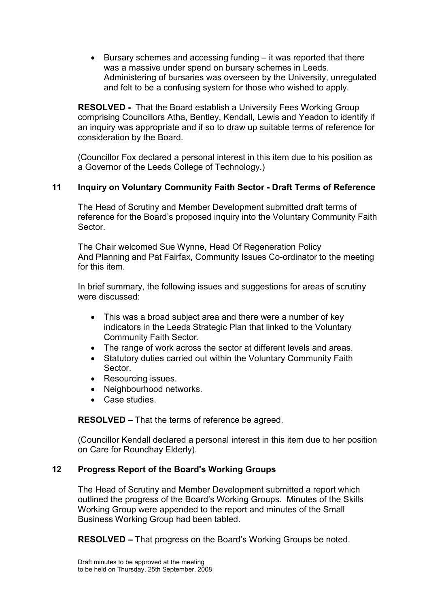• Bursary schemes and accessing funding – it was reported that there was a massive under spend on bursary schemes in Leeds. Administering of bursaries was overseen by the University, unregulated and felt to be a confusing system for those who wished to apply.

RESOLVED - That the Board establish a University Fees Working Group comprising Councillors Atha, Bentley, Kendall, Lewis and Yeadon to identify if an inquiry was appropriate and if so to draw up suitable terms of reference for consideration by the Board.

(Councillor Fox declared a personal interest in this item due to his position as a Governor of the Leeds College of Technology.)

# 11 Inquiry on Voluntary Community Faith Sector - Draft Terms of Reference

The Head of Scrutiny and Member Development submitted draft terms of reference for the Board's proposed inquiry into the Voluntary Community Faith **Sector** 

The Chair welcomed Sue Wynne, Head Of Regeneration Policy And Planning and Pat Fairfax, Community Issues Co-ordinator to the meeting for this item.

In brief summary, the following issues and suggestions for areas of scrutiny were discussed:

- This was a broad subject area and there were a number of key indicators in the Leeds Strategic Plan that linked to the Voluntary Community Faith Sector.
- The range of work across the sector at different levels and areas.
- Statutory duties carried out within the Voluntary Community Faith Sector.
- Resourcing issues.
- Neighbourhood networks.
- Case studies.

RESOLVED – That the terms of reference be agreed.

(Councillor Kendall declared a personal interest in this item due to her position on Care for Roundhay Elderly).

## 12 Progress Report of the Board's Working Groups

The Head of Scrutiny and Member Development submitted a report which outlined the progress of the Board's Working Groups. Minutes of the Skills Working Group were appended to the report and minutes of the Small Business Working Group had been tabled.

RESOLVED – That progress on the Board's Working Groups be noted.